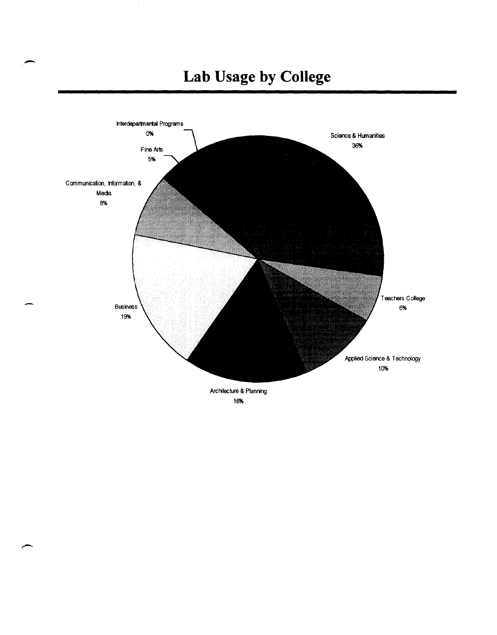

-

#### 16%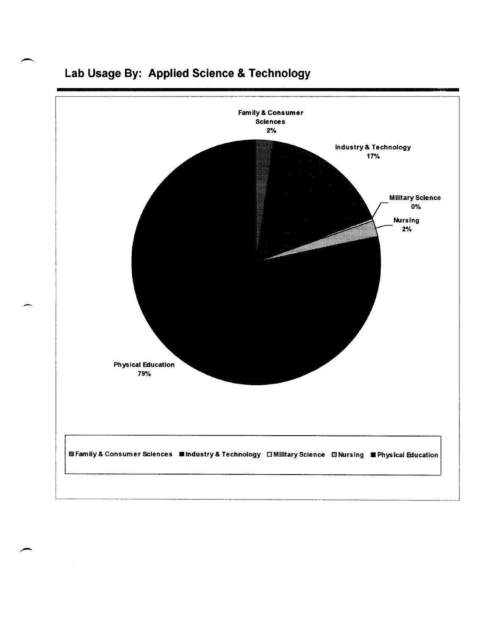

### **Lab Usage By: Applied Science & Technology**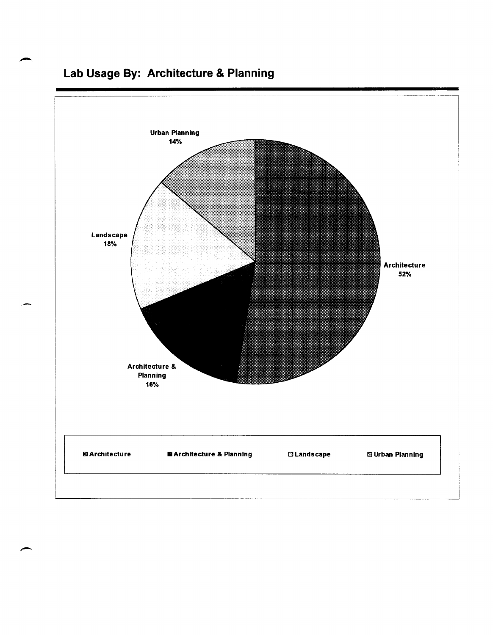

### **Lab Usage By: Architecture & Planning**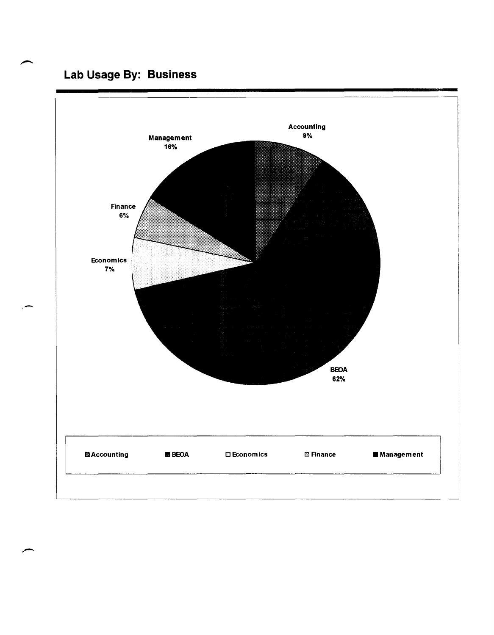### **Lab Usage By: Business**

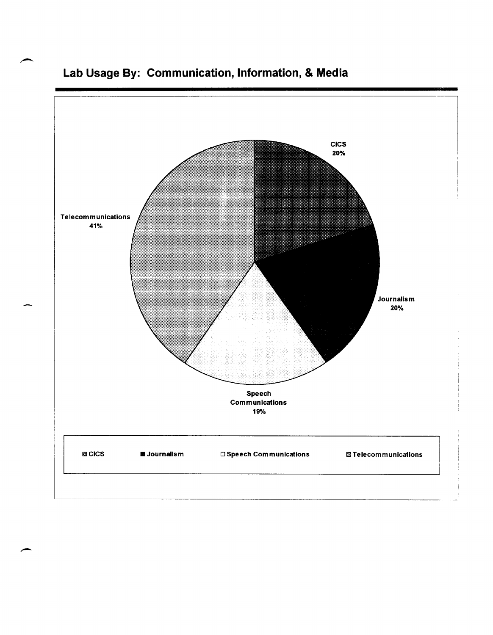

**Lab Usage By: Communication, Information, & Media** 

 $\overline{\phantom{a}}$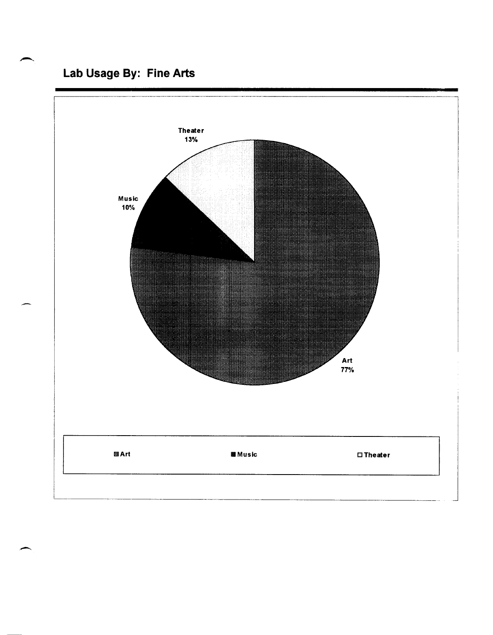### Lab Usage By: Fine Arts

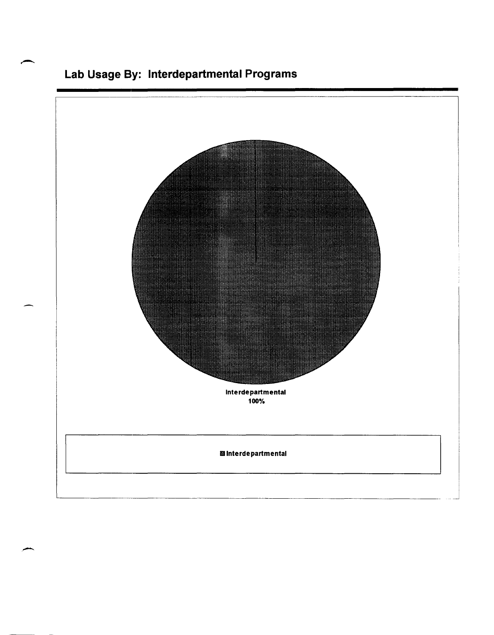

### Lab Usage By: Interdepartmental Programs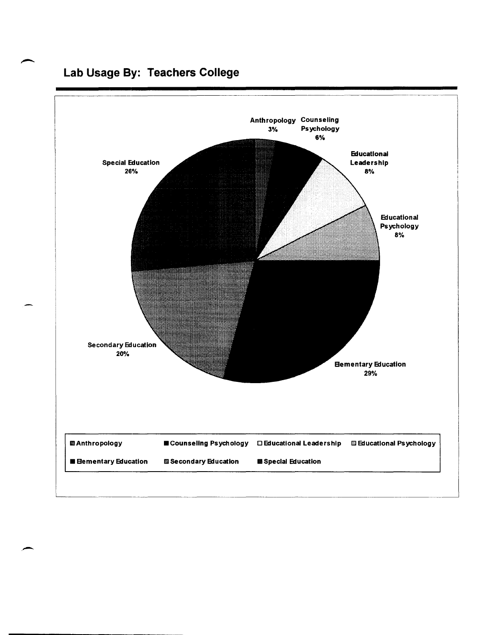### **Lab Usage By: Teachers College**



,-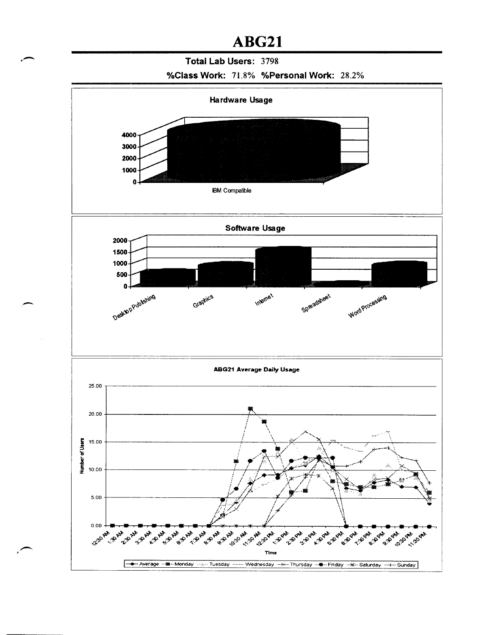### ABG21

#### Total Lab Users: 3798

#### %Class Work: 71.8% %Personal Work: 28.2%

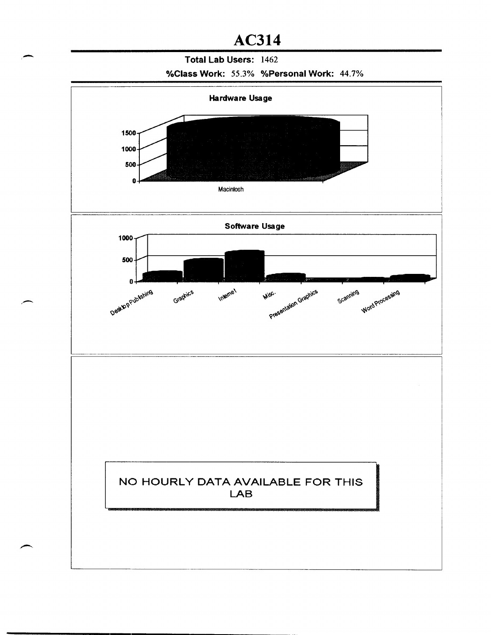# AC314<br>Total Lab Users: 1462 Total Lab Users: 1462

#### %Class Work: 55.3% %Personal Work: 44.7%

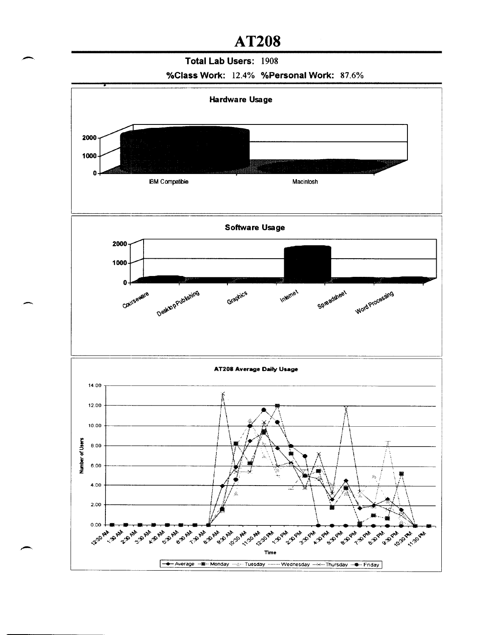### **AT208**

#### Total Lab Users: 1908

![](_page_10_Figure_2.jpeg)

![](_page_10_Figure_3.jpeg)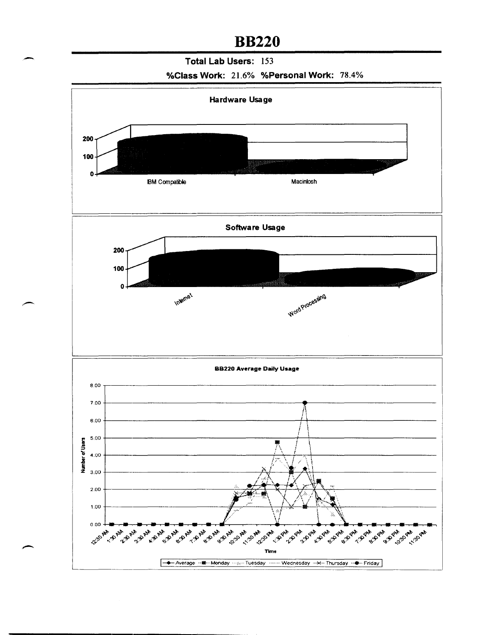### **BB220**

**Total Lab Users:** 153

![](_page_11_Figure_2.jpeg)

![](_page_11_Figure_3.jpeg)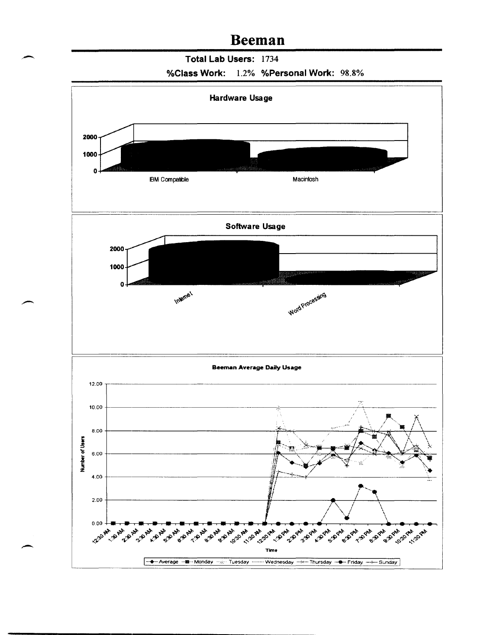### **Beeman**

**Total Lab Users:** 1734

![](_page_12_Figure_2.jpeg)

![](_page_12_Figure_3.jpeg)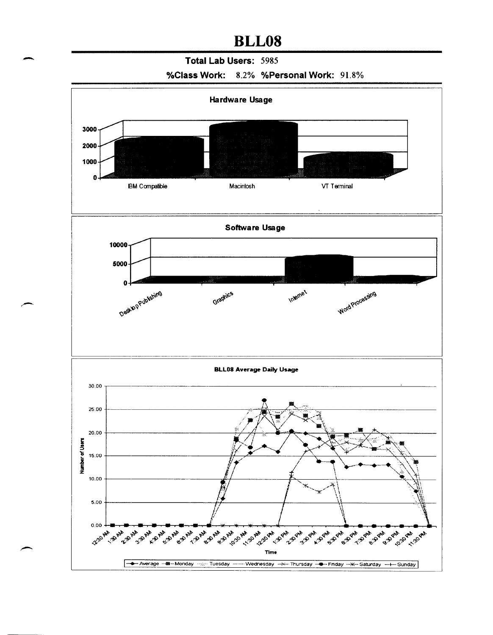# **BLL08**<br>Total Lab Users: 5985 **Total Lab Users:** 5985

**%Class Work:** 8.2% **%Personal Work:** 91.8%

![](_page_13_Figure_3.jpeg)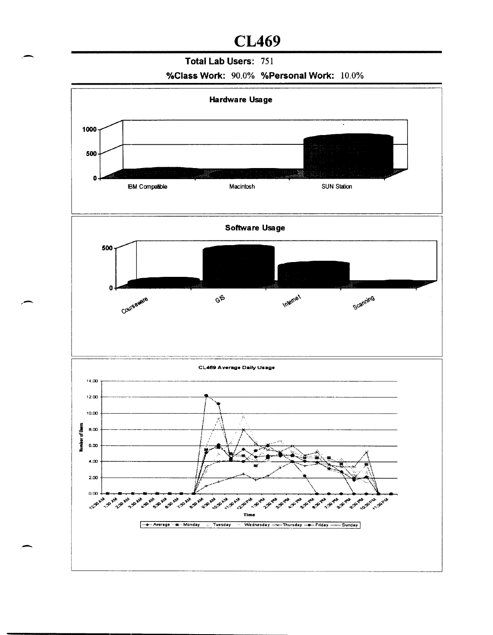### **CL469**

#### Total Lab Users: 751

%Class Work: 90.0% %Personal Work: 10.0%

![](_page_14_Figure_3.jpeg)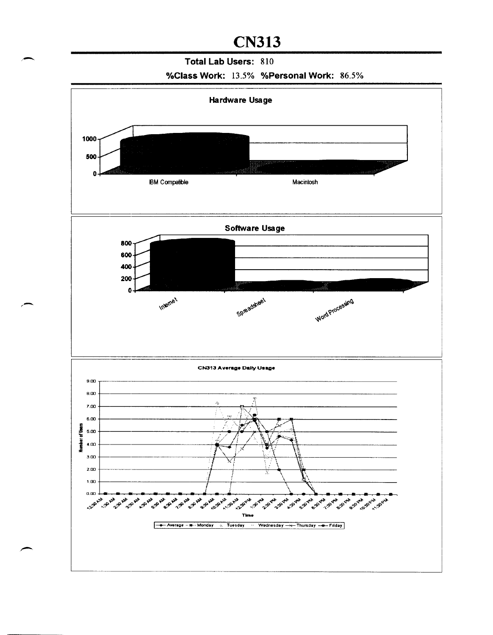### **CN313**

#### Total Lab Users: 810

%Class Work: 13.5% %Personal Work: 86.5%

![](_page_15_Figure_3.jpeg)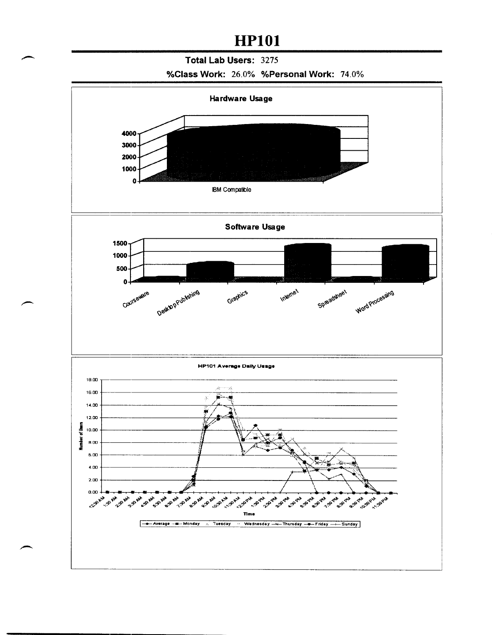### **HP101**

#### Total Lab Users: 3275

![](_page_16_Figure_2.jpeg)

![](_page_16_Figure_3.jpeg)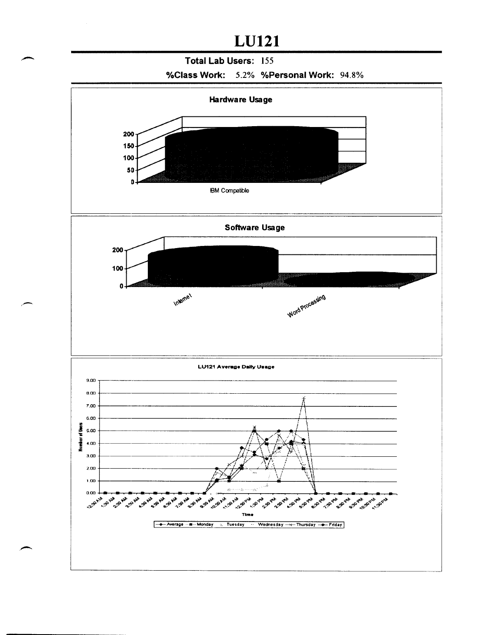## **LU121**

#### Total Lab Users: 155

![](_page_17_Figure_2.jpeg)

![](_page_17_Figure_3.jpeg)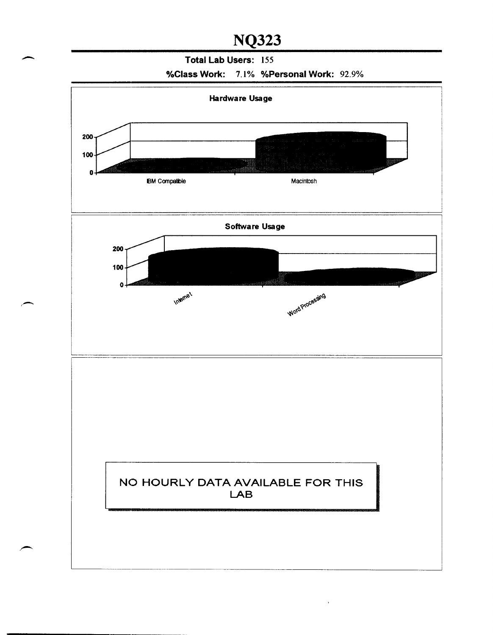NQ323<br>Total Lab Users: 155 Total Lab Users: 155

%Class Work: 7.1% %Personal Work: 92.9%

![](_page_18_Figure_3.jpeg)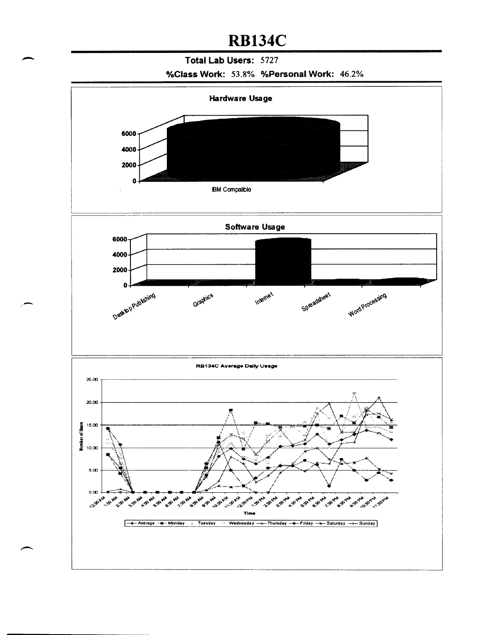## **RB134C**

### Total Lab Users: 5727

#### %Class Work: 53.8% %Personal Work: 46.2%

![](_page_19_Figure_3.jpeg)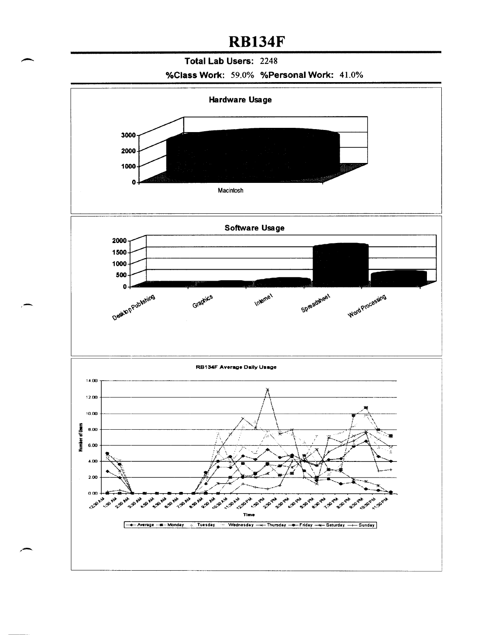### **RB134F**

#### Total Lab Users: 2248

%Class Work: 59.0% %Personal Work: 41.0%

![](_page_20_Figure_3.jpeg)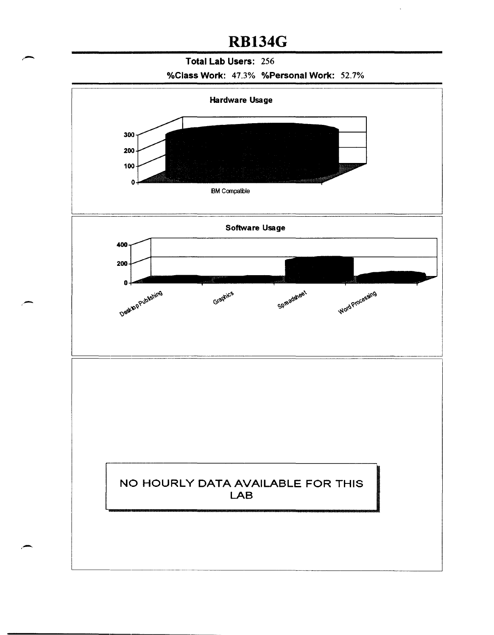## **RB134G**

#### Total Lab Users: 256

%Class Work: 47.3% %Personal Work: 52.7%

![](_page_21_Figure_3.jpeg)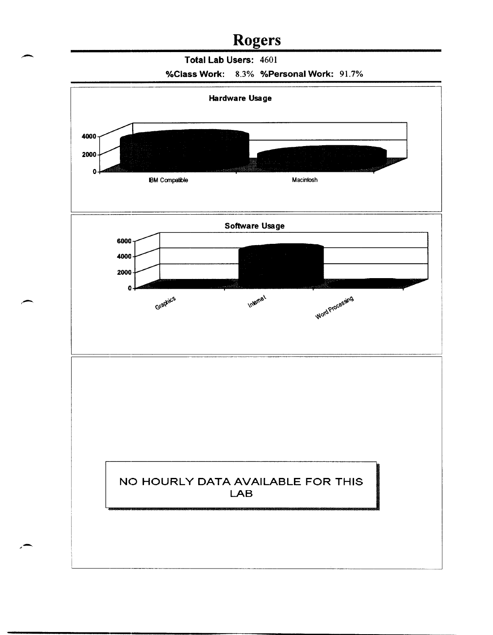### **Rogers**

Total Lab Users: 4601

![](_page_22_Figure_2.jpeg)

![](_page_22_Figure_3.jpeg)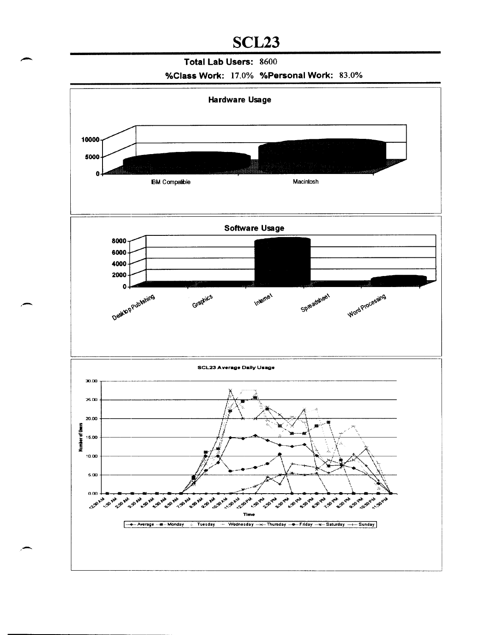## SCL<sub>23</sub>

#### Total Lab Users: 8600

#### %Class Work: 17.0% %Personal Work: 83.0%

![](_page_23_Figure_3.jpeg)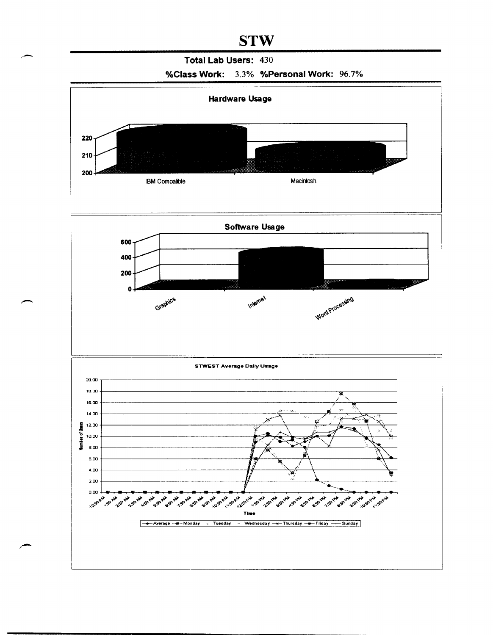### **STW**

#### **Total Lab Users:** 430

![](_page_24_Figure_2.jpeg)

![](_page_24_Figure_3.jpeg)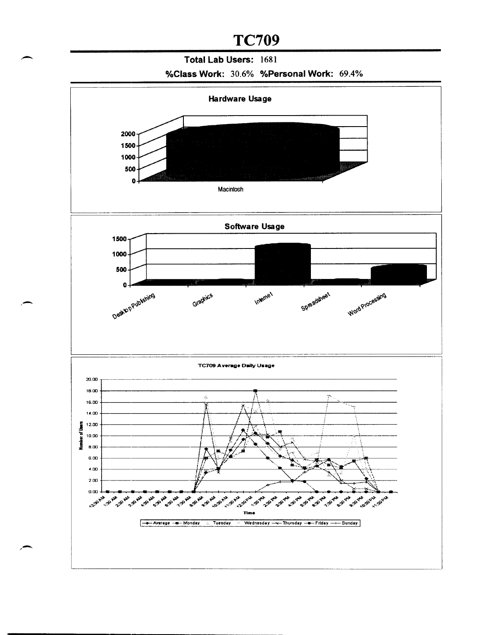### **TC709**

### **Total Lab Users:** 1681

#### **%Class Work:** 30.6% **%Personal Work:** 69.4%

![](_page_25_Figure_3.jpeg)

,-

/-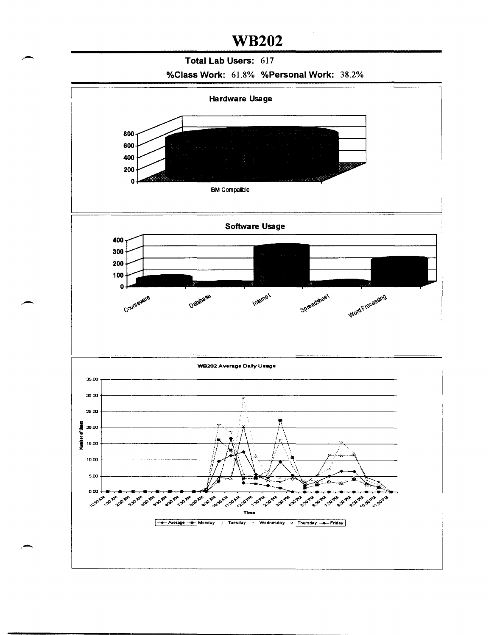#### Total Lab Users: 617

![](_page_26_Figure_2.jpeg)

![](_page_26_Figure_3.jpeg)

,-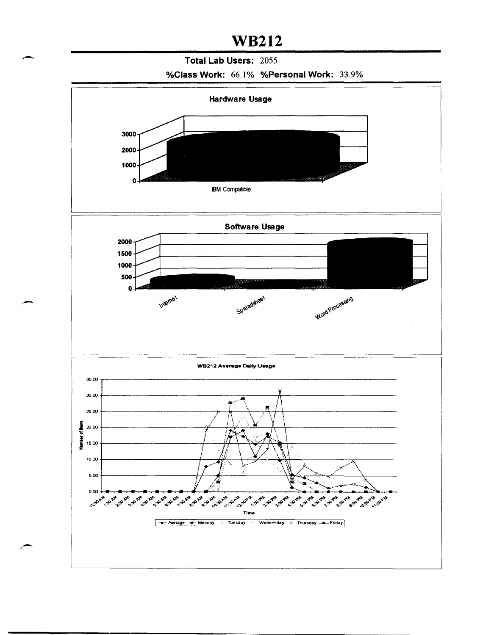#### - **Total Lab Users:** <sup>2055</sup>

#### **%Class Work:** 66.1% **%Personal Work:** 33.9%

![](_page_27_Figure_3.jpeg)

.-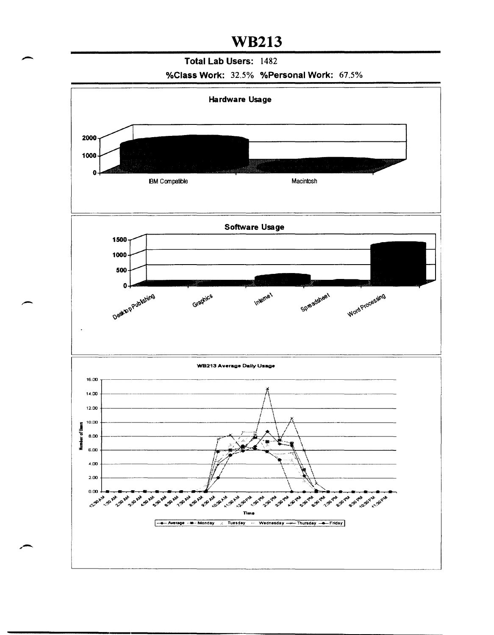- **Total Lab Users:** <sup>1482</sup> **%Class Work:** 32.5% **%Personal Work:** 67.5%

![](_page_28_Figure_3.jpeg)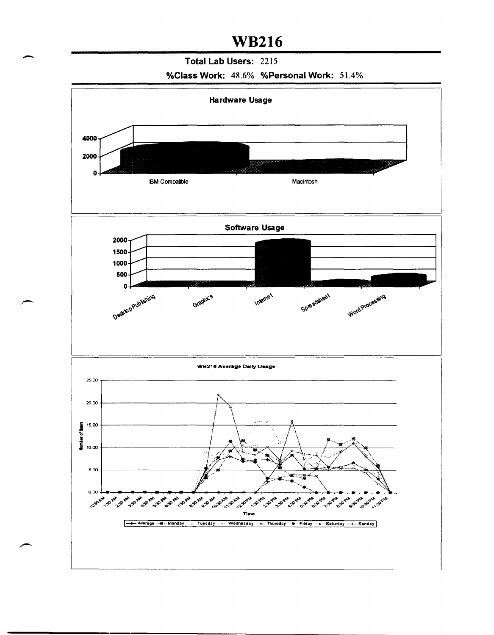#### Total Lab Users: 2215

%Class Work: 48.6% %Personal Work: 51.4%

![](_page_29_Figure_3.jpeg)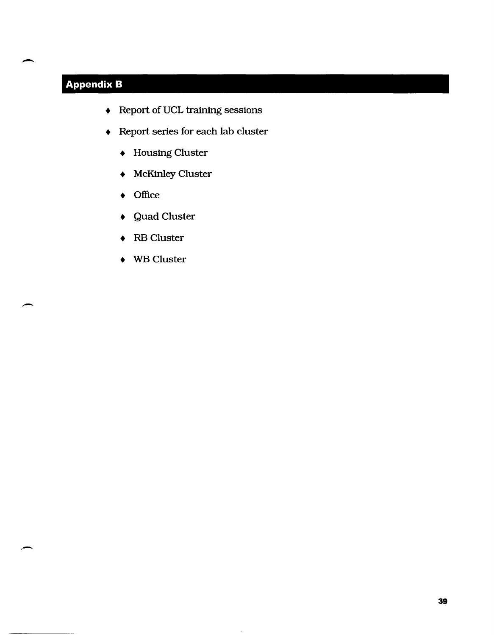### **Appendix B**

-

-

,.-

- Report of VCL training sessions
- Report series for each lab cluster
	- $\bullet$  Housing Cluster
	- McKinley Cluster
	- Office
	- Quad Cluster
	- RB Cluster
	- WB Cluster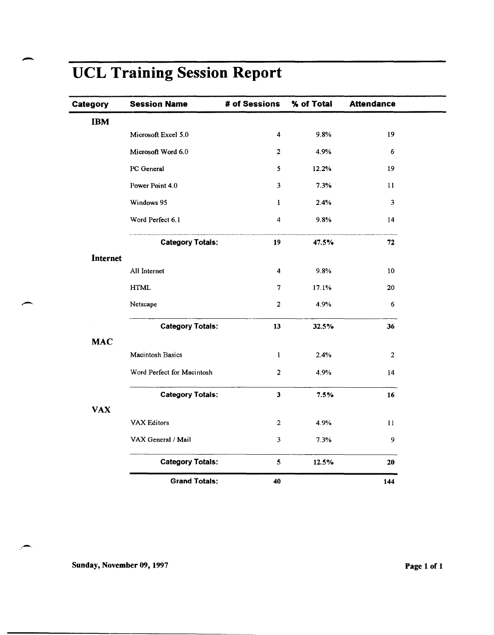| Category   | <b>Session Name</b>        | # of Sessions           | % of Total | <b>Attendance</b>       |
|------------|----------------------------|-------------------------|------------|-------------------------|
| <b>IBM</b> |                            |                         |            |                         |
|            | Microsoft Excel 5.0        | $\overline{\mathbf{4}}$ | 9.8%       | 19                      |
|            | Microsoft Word 6.0         | $\overline{2}$          | 4.9%       | 6                       |
|            | PC General                 | $\mathbf{5}$            | 12.2%      | 19                      |
|            | Power Point 4.0            | 3                       | 7.3%       | 11                      |
|            | Windows 95                 | 1                       | 2.4%       | $\overline{\mathbf{3}}$ |
|            | Word Perfect 6.1           | $\overline{\mathbf{4}}$ | 9.8%       | 14                      |
|            | <b>Category Totals:</b>    | 19                      | 47.5%      | 72                      |
| Internet   |                            |                         |            |                         |
|            | All Internet               | 4                       | 9.8%       | 10                      |
|            | $\operatorname{HTML}$      | $\overline{7}$          | 17.1%      | 20                      |
|            | Netscape                   | $\overline{2}$          | 4.9%       | 6                       |
|            | <b>Category Totals:</b>    | 13                      | 32.5%      | 36                      |
| <b>MAC</b> |                            |                         |            |                         |
|            | <b>Macintosh Basics</b>    | $\mathbf{1}$            | 2.4%       | $\overline{2}$          |
|            | Word Perfect for Macintosh | $\overline{2}$          | 4.9%       | 14                      |
|            | <b>Category Totals:</b>    | $\mathbf{3}$            | 7.5%       | 16                      |
| <b>VAX</b> |                            |                         |            |                         |
|            | VAX Editors                | $\overline{2}$          | 4.9%       | 11                      |
|            | VAX General / Mail         | $\mathbf{3}$            | 7.3%       | 9                       |
|            | <b>Category Totals:</b>    | $\mathbf{5}$            | 12.5%      | 20                      |
|            | <b>Grand Totals:</b>       | 40                      |            | 144                     |

# UCL Training Session Report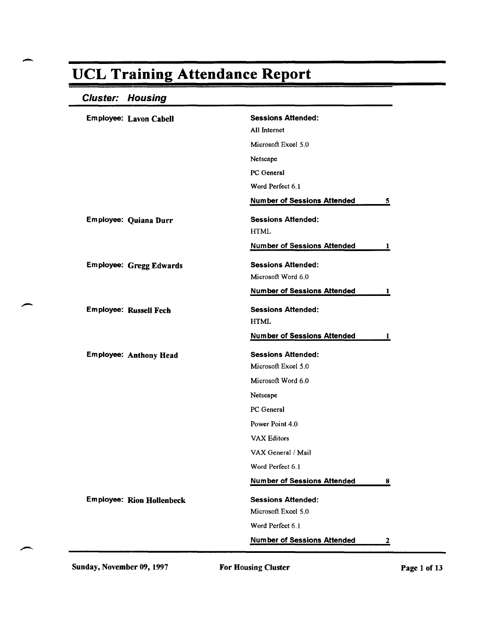### Cluster: Housing

| <b>Sessions Attended:</b><br>Employee: Lavon Cabell               |   |
|-------------------------------------------------------------------|---|
| All Internet                                                      |   |
| Microsoft Excel 5.0                                               |   |
| Netscape                                                          |   |
| PC General                                                        |   |
| Word Perfect 6.1                                                  |   |
| <b>Number of Sessions Attended</b>                                | 5 |
| <b>Sessions Attended:</b><br>Employee: Quiana Durr<br><b>HTML</b> |   |
| <b>Number of Sessions Attended</b>                                | 1 |
| <b>Sessions Attended:</b><br><b>Employee: Gregg Edwards</b>       |   |
| Microsoft Word 6.0                                                |   |
| <b>Number of Sessions Attended</b>                                | 1 |
| <b>Sessions Attended:</b><br><b>Employee: Russell Fech</b>        |   |
| <b>HTML</b>                                                       |   |
|                                                                   |   |
| <b>Number of Sessions Attended</b>                                | 1 |
| <b>Sessions Attended:</b><br><b>Employee: Anthony Head</b>        |   |
| Microsoft Excel 5.0                                               |   |
| Microsoft Word 6.0                                                |   |
| Netscape                                                          |   |
| PC General                                                        |   |
| Power Point 4.0                                                   |   |
| <b>VAX Editors</b>                                                |   |
| VAX General / Mail                                                |   |
| Word Perfect 6.1                                                  |   |
| <b>Number of Sessions Attended</b>                                | 8 |
| <b>Employee: Rion Hollenbeck</b><br><b>Sessions Attended:</b>     |   |
| Microsoft Excel 5.0                                               |   |
| Word Perfect 6.1                                                  |   |

Sunday, November 09, 1997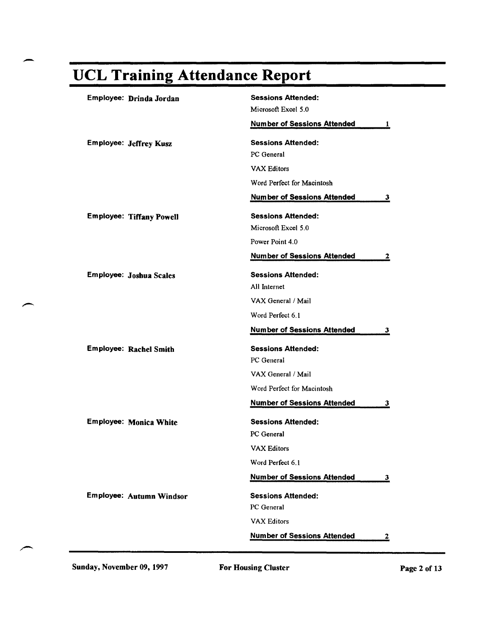.-

| Employee: Drinda Jordan         | <b>Sessions Attended:</b>                |
|---------------------------------|------------------------------------------|
|                                 | Microsoft Excel 5.0                      |
|                                 | <b>Number of Sessions Attended</b><br>1  |
| <b>Employee: Jeffrey Kusz</b>   | <b>Sessions Attended:</b>                |
|                                 | PC General                               |
|                                 | <b>VAX Editors</b>                       |
|                                 | Word Perfect for Macintosh               |
|                                 | <b>Number of Sessions Attended</b><br>З. |
| <b>Employee: Tiffany Powell</b> | <b>Sessions Attended:</b>                |
|                                 | Microsoft Excel 5.0                      |
|                                 | Power Point 4.0                          |
|                                 | <b>Number of Sessions Attended</b><br>2  |
| Employee: Joshua Scales         | <b>Sessions Attended:</b>                |
|                                 | All Internet                             |
|                                 | VAX General / Mail                       |
|                                 | Word Perfect 6.1                         |
|                                 | <b>Number of Sessions Attended</b><br>3  |
| <b>Employee: Rachel Smith</b>   | <b>Sessions Attended:</b>                |
|                                 | PC General                               |
|                                 | VAX General / Mail                       |
|                                 | Word Perfect for Macintosh               |
|                                 | <b>Number of Sessions Attended</b><br>3  |
| <b>Employee: Monica White</b>   | <b>Sessions Attended:</b>                |
|                                 | PC General                               |
|                                 | <b>VAX Editors</b>                       |
|                                 | Word Perfect 6.1                         |
|                                 | <b>Number of Sessions Attended</b><br>3  |
| Employee: Autumn Windsor        | <b>Sessions Attended:</b>                |
|                                 | PC General                               |
|                                 | <b>VAX Editors</b>                       |
|                                 | <b>Number of Sessions Attended</b><br>2  |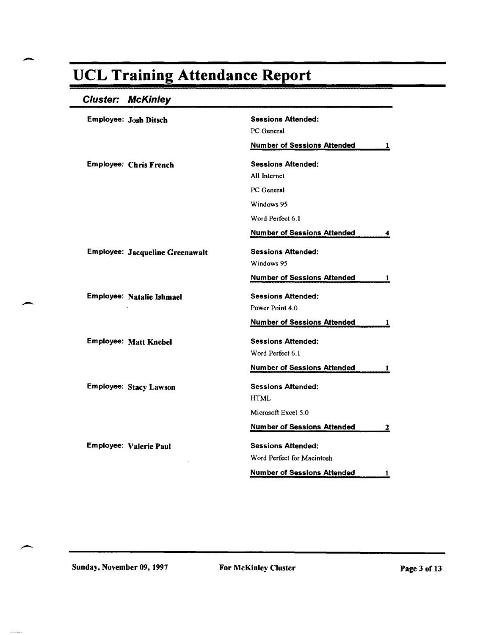### Cluster: McKinley

| <b>Employee: Josh Ditsch</b>    | <b>Sessions Attended:</b><br>PC General<br><b>Number of Sessions Attended</b><br>-1 |
|---------------------------------|-------------------------------------------------------------------------------------|
| <b>Employee: Chris French</b>   | <b>Sessions Attended:</b><br>All Internet                                           |
|                                 | PC General                                                                          |
|                                 | Windows 95                                                                          |
|                                 | Word Perfect 6.1                                                                    |
|                                 | <b>Number of Sessions Attended</b>                                                  |
| Employee: Jacqueline Greenawalt | <b>Sessions Attended:</b><br>Windows 95                                             |
|                                 | <b>Number of Sessions Attended</b><br>1                                             |
| Employee: Natalie Ishmael       | <b>Sessions Attended:</b><br>Power Point 4.0                                        |
|                                 | <b>Number of Sessions Attended</b><br>1                                             |
| <b>Employee: Matt Knebel</b>    | <b>Sessions Attended:</b><br>Word Perfect 6.1                                       |
|                                 | <b>Number of Sessions Attended</b><br>1                                             |
| Employee: Stacy Lawson          | <b>Sessions Attended:</b><br><b>HTML</b>                                            |
|                                 | Microsoft Excel 5.0                                                                 |
|                                 | <b>Number of Sessions Attended</b><br>$\overline{\mathbf{z}}$                       |
| <b>Employee: Valerie Paul</b>   | <b>Sessions Attended:</b>                                                           |
|                                 | Word Perfect for Macintosh                                                          |
|                                 | <b>Number of Sessions Attended</b><br>1                                             |

Sunday, November 09, 1997 For McKinley Cluster For McCine Page 3 of 13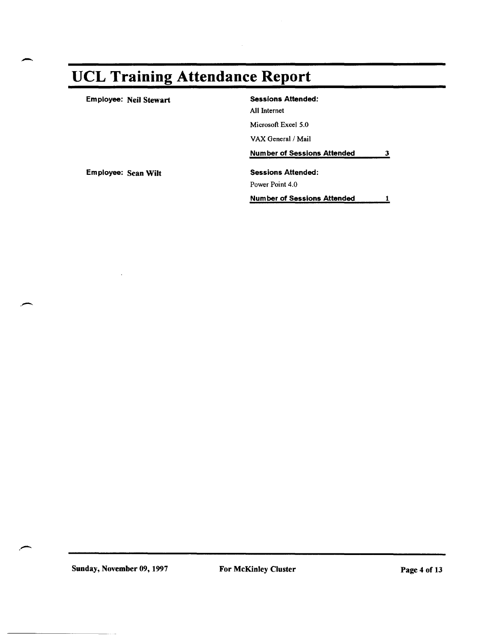-

.-

.-

| Employee: Neil Stewart | <b>Sessions Attended:</b>          |   |
|------------------------|------------------------------------|---|
|                        | All Internet                       |   |
|                        | Microsoft Excel 5.0                |   |
|                        | VAX General / Mail                 |   |
|                        | <b>Number of Sessions Attended</b> | 3 |
| Employee: Sean Wilt    | <b>Sessions Attended:</b>          |   |
|                        | Power Point 4.0                    |   |
|                        | <b>Number of Sessions Attended</b> |   |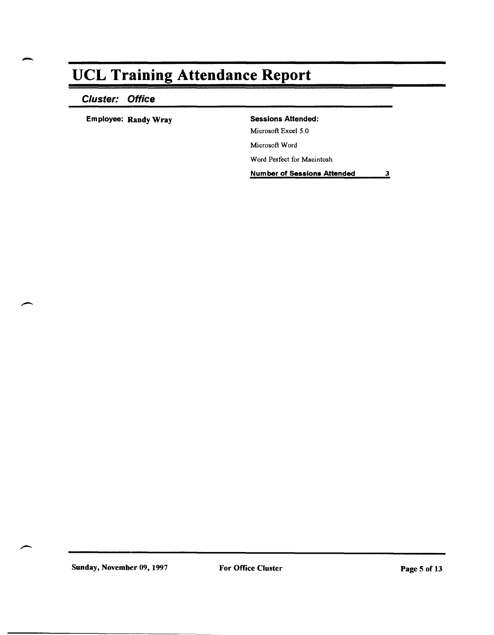### Cluster: Office

Employee: Randy Wray Sessions Attended:

Microsoft Excel 5.0

Microsoft Word

Word Perfect for Macintosh

Number of Sessions Attended 3

Sunday, November 09, 1997 For Office Cluster For Sunday, November 09, 1997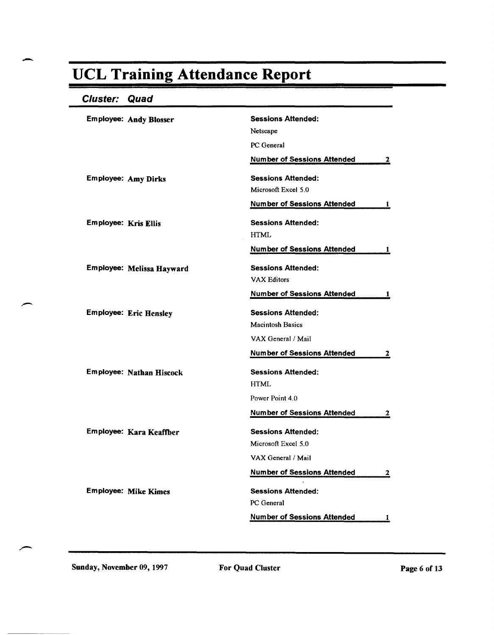### Cluster: Quad

|                             | <b>Employee: Andy Blosser</b> | <b>Sessions Attended:</b>                |
|-----------------------------|-------------------------------|------------------------------------------|
|                             |                               | Netscape                                 |
|                             |                               | PC General                               |
|                             |                               | <b>Number of Sessions Attended</b><br>2  |
|                             | <b>Employee: Amy Dirks</b>    | <b>Sessions Attended:</b>                |
|                             |                               | Microsoft Excel 5.0                      |
|                             |                               | <b>Number of Sessions Attended</b><br>1  |
| <b>Employee: Kris Ellis</b> |                               | <b>Sessions Attended:</b>                |
|                             |                               | <b>HTML</b>                              |
|                             |                               | <b>Number of Sessions Attended</b><br>1  |
|                             | Employee: Melissa Hayward     | <b>Sessions Attended:</b>                |
|                             |                               | <b>VAX Editors</b>                       |
|                             |                               | <b>Number of Sessions Attended</b><br>п. |
|                             | <b>Employee: Eric Hensley</b> | <b>Sessions Attended:</b>                |
|                             |                               | <b>Macintosh Basics</b>                  |
|                             |                               | VAX General / Mail                       |
|                             |                               | <b>Number of Sessions Attended</b><br>2  |
|                             | Employee: Nathan Hiscock      | <b>Sessions Attended:</b>                |
|                             |                               | <b>HTML</b>                              |
|                             |                               | Power Point 4.0                          |
|                             |                               | <b>Number of Sessions Attended</b><br>2  |
|                             | Employee: Kara Keaffber       | <b>Sessions Attended:</b>                |
|                             |                               | Microsoft Excel 5.0                      |
|                             |                               | VAX General / Mail                       |
|                             |                               | <b>Number of Sessions Attended</b><br>2  |
|                             | <b>Employee: Mike Kimes</b>   | <b>Sessions Attended:</b>                |
|                             |                               | PC General                               |
|                             |                               | <b>Number of Sessions Attended</b><br>1  |

Sunday, November 09, 1997 For Quad Cluster For Sunday, November 09, 1997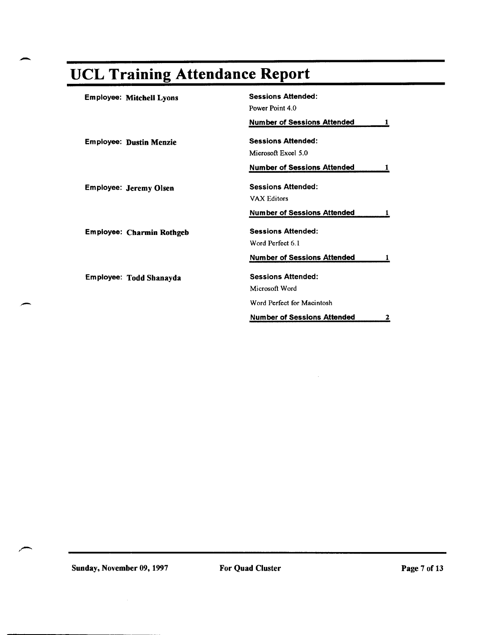| <b>Employee: Mitchell Lyons</b>  | <b>Sessions Attended:</b>          |   |
|----------------------------------|------------------------------------|---|
|                                  | Power Point 4.0                    |   |
|                                  | <b>Number of Sessions Attended</b> |   |
| <b>Employee: Dustin Menzie</b>   | <b>Sessions Attended:</b>          |   |
|                                  | Microsoft Excel 5.0                |   |
|                                  | <b>Number of Sessions Attended</b> |   |
| <b>Employee: Jeremy Olsen</b>    | <b>Sessions Attended:</b>          |   |
|                                  | <b>VAX Editors</b>                 |   |
|                                  | <b>Number of Sessions Attended</b> |   |
| <b>Employee: Charmin Rothgeb</b> | <b>Sessions Attended:</b>          |   |
|                                  | Word Perfect 6.1                   |   |
|                                  | <b>Number of Sessions Attended</b> |   |
| Employee: Todd Shanayda          | <b>Sessions Attended:</b>          |   |
|                                  | Microsoft Word                     |   |
|                                  | Word Perfect for Macintosh         |   |
|                                  | <b>Number of Sessions Attended</b> | 2 |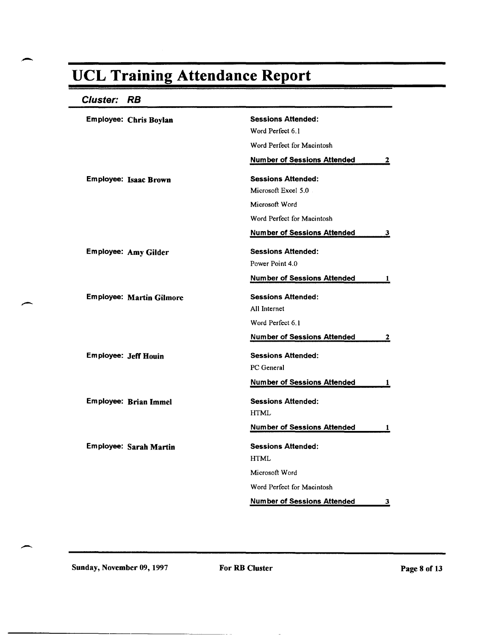#### Cluster: **RB**

| Employee: Chris Boylan          | <b>Sessions Attended:</b>               |
|---------------------------------|-----------------------------------------|
|                                 | Word Perfect 6.1                        |
|                                 | Word Perfect for Macintosh              |
|                                 | <b>Number of Sessions Attended</b><br>2 |
| <b>Employee: Isaac Brown</b>    | <b>Sessions Attended:</b>               |
|                                 | Microsoft Excel 5.0                     |
|                                 | Microsoft Word                          |
|                                 | Word Perfect for Macintosh              |
|                                 | <b>Number of Sessions Attended</b><br>3 |
| Employee: Amy Gilder            | <b>Sessions Attended:</b>               |
|                                 | Power Point 4.0                         |
|                                 | <b>Number of Sessions Attended</b><br>1 |
| <b>Employee: Martin Gilmore</b> | <b>Sessions Attended:</b>               |
|                                 | All Internet                            |
|                                 | Word Perfect 6.1                        |
|                                 | <b>Number of Sessions Attended</b><br>2 |
| <b>Employee: Jeff Houin</b>     | <b>Sessions Attended:</b>               |
|                                 | PC General                              |
|                                 | <b>Number of Sessions Attended</b><br>1 |
| Employee: Brian Immel           | <b>Sessions Attended:</b>               |
|                                 | <b>HTML</b>                             |
|                                 | <b>Number of Sessions Attended</b><br>1 |
| Employee: Sarah Martin          | <b>Sessions Attended:</b>               |
|                                 | <b>HTML</b>                             |
|                                 | Microsoft Word                          |
|                                 | Word Perfect for Macintosh              |
|                                 | <b>Number of Sessions Attended</b><br>3 |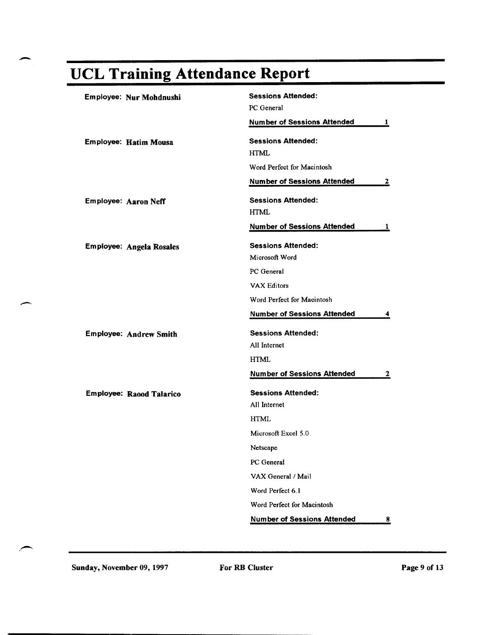| Employee: Nur Mohdnushi       | <b>Sessions Attended:</b>                                     |
|-------------------------------|---------------------------------------------------------------|
|                               | PC General                                                    |
|                               | <b>Number of Sessions Attended</b><br>1                       |
| Employee: Hatim Mousa         | <b>Sessions Attended:</b>                                     |
|                               | <b>HTML</b>                                                   |
|                               | Word Perfect for Macintosh                                    |
|                               | <b>Number of Sessions Attended</b><br>2                       |
| Employee: Aaron Neff          | <b>Sessions Attended:</b>                                     |
|                               | <b>HTML</b>                                                   |
|                               | <b>Number of Sessions Attended</b><br>1                       |
| Employee: Angela Rosales      | <b>Sessions Attended:</b>                                     |
|                               | Microsoft Word                                                |
|                               | PC General                                                    |
|                               | <b>VAX Editors</b>                                            |
|                               | Word Perfect for Macintosh                                    |
|                               | <b>Number of Sessions Attended</b><br>4                       |
| <b>Employee: Andrew Smith</b> | <b>Sessions Attended:</b>                                     |
|                               | All Internet                                                  |
|                               | <b>HTML</b>                                                   |
|                               | <b>Number of Sessions Attended</b><br><u>2</u>                |
| Employee: Raood Talarico      | <b>Sessions Attended:</b>                                     |
|                               | All Internet                                                  |
|                               | <b>HTML</b>                                                   |
|                               | Microsoft Excel 5.0                                           |
|                               | Netscape                                                      |
|                               | PC General                                                    |
|                               | VAX General / Mail                                            |
|                               | Word Perfect 6.1                                              |
|                               | Word Perfect for Macintosh                                    |
|                               | <b>Number of Sessions Attended</b><br>$\overline{\mathbf{8}}$ |

".-.....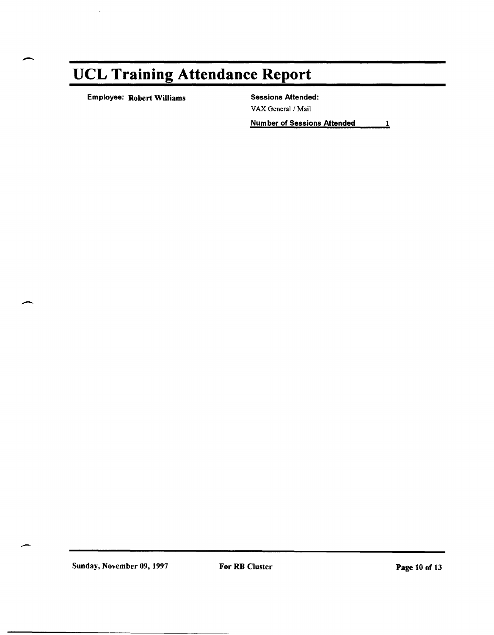Employee: Robert Williams Sessions Attended:

VAX General/Mail

Number of Sessions Attended 11

Sunday, November 09, 1997 For RB Cluster For Renewall 200 of 13

 $\overline{\phantom{a}}$ 

--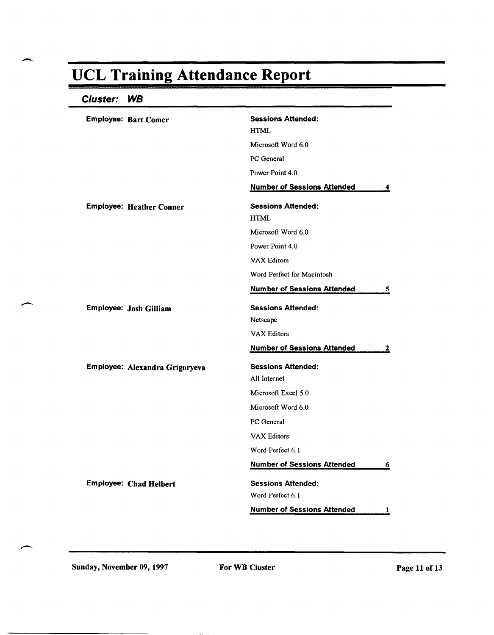#### Cluster: **WB**

| <b>Employee: Bart Comer</b>     | <b>Sessions Attended:</b>          |   |
|---------------------------------|------------------------------------|---|
|                                 | <b>HTML</b>                        |   |
|                                 | Microsoft Word 6.0                 |   |
|                                 | PC General                         |   |
|                                 | Power Point 4.0                    |   |
|                                 | <b>Number of Sessions Attended</b> | 4 |
| <b>Employee: Heather Conner</b> | <b>Sessions Attended:</b>          |   |
|                                 | <b>HTML</b>                        |   |
|                                 | Microsoft Word 6.0                 |   |
|                                 | Power Point 4.0                    |   |
|                                 | <b>VAX Editors</b>                 |   |
|                                 | Word Perfect for Macintosh         |   |
|                                 | <b>Number of Sessions Attended</b> | 5 |
| Employee: Josh Gilliam          | <b>Sessions Attended:</b>          |   |
|                                 | Netscape                           |   |
|                                 | <b>VAX Editors</b>                 |   |
|                                 | <b>Number of Sessions Attended</b> | 2 |
| Employee: Alexandra Grigoryeva  | <b>Sessions Attended:</b>          |   |
|                                 | All Internet                       |   |
|                                 | Microsoft Excel 5.0                |   |
|                                 | Microsoft Word 6.0                 |   |
|                                 | PC General                         |   |
|                                 | <b>VAX Editors</b>                 |   |
|                                 | Word Perfect 6.1                   |   |
|                                 | <b>Number of Sessions Attended</b> | 6 |
| <b>Employee: Chad Helbert</b>   | <b>Sessions Attended:</b>          |   |
|                                 | Word Perfect 6.1                   |   |
|                                 |                                    |   |

Sunday, November 09, 1997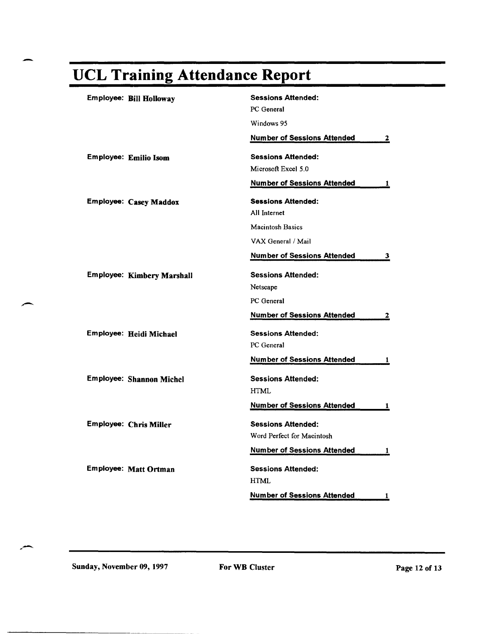|  | <b>UCL Training Attendance Report</b> |  |
|--|---------------------------------------|--|

| Employee: Bill Holloway         | <b>Sessions Attended:</b>          |   |
|---------------------------------|------------------------------------|---|
|                                 | PC General                         |   |
|                                 | Windows 95                         |   |
|                                 | <b>Number of Sessions Attended</b> | 2 |
| <b>Employee: Emilio Isom</b>    | <b>Sessions Attended:</b>          |   |
|                                 | Microsoft Excel 5.0                |   |
|                                 | <b>Number of Sessions Attended</b> | 1 |
| Employee: Casey Maddox          | <b>Sessions Attended:</b>          |   |
|                                 | All Internet                       |   |
|                                 | <b>Macintosh Basics</b>            |   |
|                                 | VAX General / Mail                 |   |
|                                 | <b>Number of Sessions Attended</b> | 3 |
| Employee: Kimbery Marshall      | <b>Sessions Attended:</b>          |   |
|                                 | Netscape                           |   |
|                                 | PC General                         |   |
|                                 | <b>Number of Sessions Attended</b> | 2 |
| Employee: Heidi Michael         | <b>Sessions Attended:</b>          |   |
|                                 | PC General                         |   |
|                                 | <b>Number of Sessions Attended</b> | 1 |
| <b>Employee: Shannon Michel</b> | <b>Sessions Attended:</b>          |   |
|                                 | <b>HTML</b>                        |   |
|                                 | <b>Number of Sessions Attended</b> | 1 |
| <b>Employee: Chris Miller</b>   | <b>Sessions Attended:</b>          |   |
|                                 | Word Perfect for Macintosh         |   |
|                                 | <b>Number of Sessions Attended</b> | 1 |
| Employee: Matt Ortman           | <b>Sessions Attended:</b><br>HTML  |   |
|                                 | <b>Number of Sessions Attended</b> | 1 |